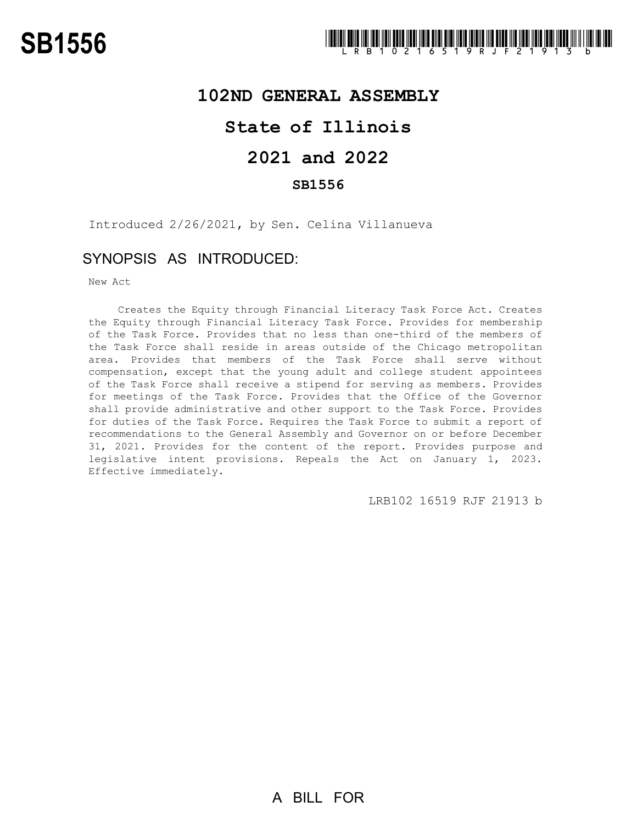## **102ND GENERAL ASSEMBLY**

# **State of Illinois**

# **2021 and 2022**

### **SB1556**

Introduced 2/26/2021, by Sen. Celina Villanueva

## SYNOPSIS AS INTRODUCED:

New Act

Creates the Equity through Financial Literacy Task Force Act. Creates the Equity through Financial Literacy Task Force. Provides for membership of the Task Force. Provides that no less than one-third of the members of the Task Force shall reside in areas outside of the Chicago metropolitan area. Provides that members of the Task Force shall serve without compensation, except that the young adult and college student appointees of the Task Force shall receive a stipend for serving as members. Provides for meetings of the Task Force. Provides that the Office of the Governor shall provide administrative and other support to the Task Force. Provides for duties of the Task Force. Requires the Task Force to submit a report of recommendations to the General Assembly and Governor on or before December 31, 2021. Provides for the content of the report. Provides purpose and legislative intent provisions. Repeals the Act on January 1, 2023. Effective immediately.

LRB102 16519 RJF 21913 b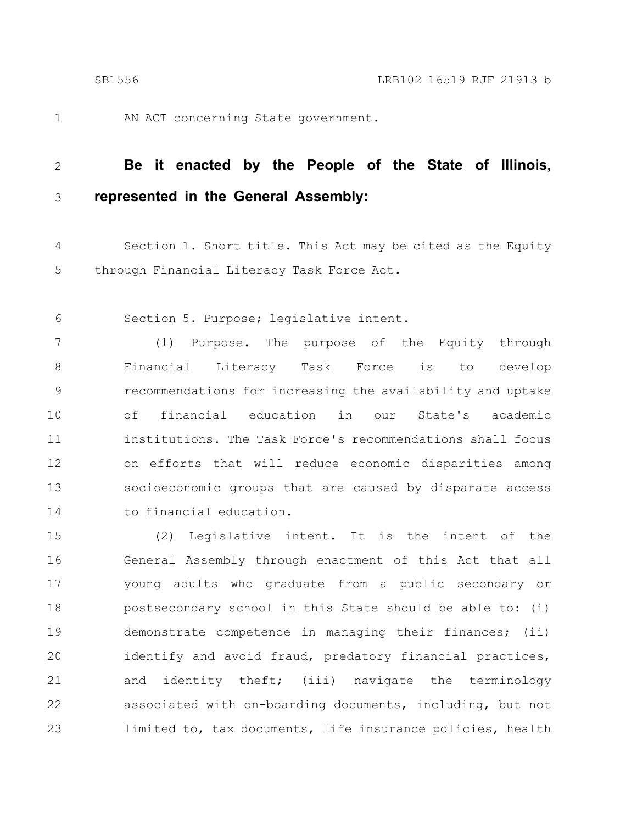1

AN ACT concerning State government.

#### **Be it enacted by the People of the State of Illinois, represented in the General Assembly:** 2 3

Section 1. Short title. This Act may be cited as the Equity through Financial Literacy Task Force Act. 4 5

Section 5. Purpose; legislative intent. 6

(1) Purpose. The purpose of the Equity through Financial Literacy Task Force is to develop recommendations for increasing the availability and uptake of financial education in our State's academic institutions. The Task Force's recommendations shall focus on efforts that will reduce economic disparities among socioeconomic groups that are caused by disparate access to financial education. 7 8 9 10 11 12 13 14

(2) Legislative intent. It is the intent of the General Assembly through enactment of this Act that all young adults who graduate from a public secondary or postsecondary school in this State should be able to: (i) demonstrate competence in managing their finances; (ii) identify and avoid fraud, predatory financial practices, and identity theft; (iii) navigate the terminology associated with on-boarding documents, including, but not limited to, tax documents, life insurance policies, health 15 16 17 18 19 20 21 22 23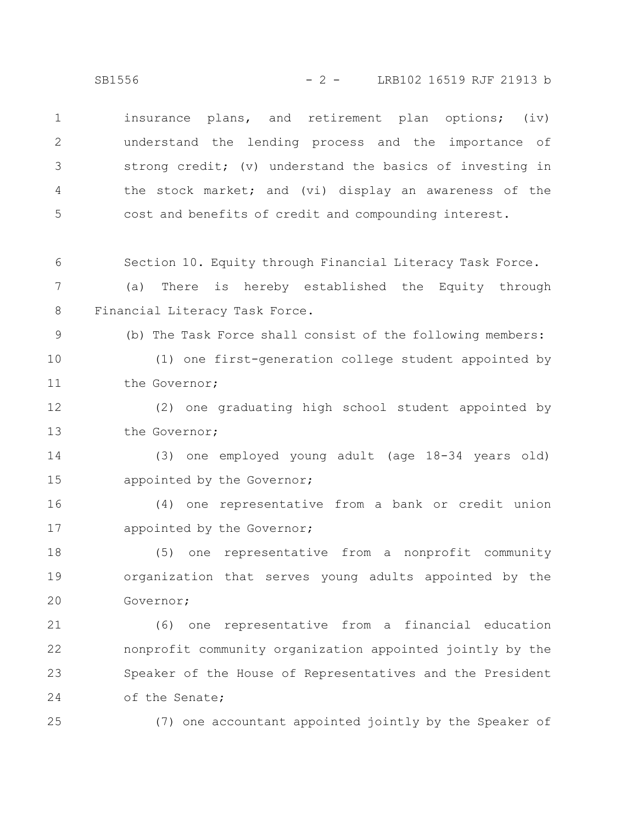insurance plans, and retirement plan options; (iv) understand the lending process and the importance of strong credit; (v) understand the basics of investing in the stock market; and (vi) display an awareness of the cost and benefits of credit and compounding interest. 1 2 3 4 5

Section 10. Equity through Financial Literacy Task Force. 6

(a) There is hereby established the Equity through Financial Literacy Task Force. 7 8

(b) The Task Force shall consist of the following members:

(1) one first-generation college student appointed by the Governor; 10 11

(2) one graduating high school student appointed by the Governor; 12 13

(3) one employed young adult (age 18-34 years old) appointed by the Governor; 14 15

(4) one representative from a bank or credit union appointed by the Governor; 16 17

(5) one representative from a nonprofit community organization that serves young adults appointed by the Governor; 18 19 20

(6) one representative from a financial education nonprofit community organization appointed jointly by the Speaker of the House of Representatives and the President of the Senate; 21 22 23 24

25

9

(7) one accountant appointed jointly by the Speaker of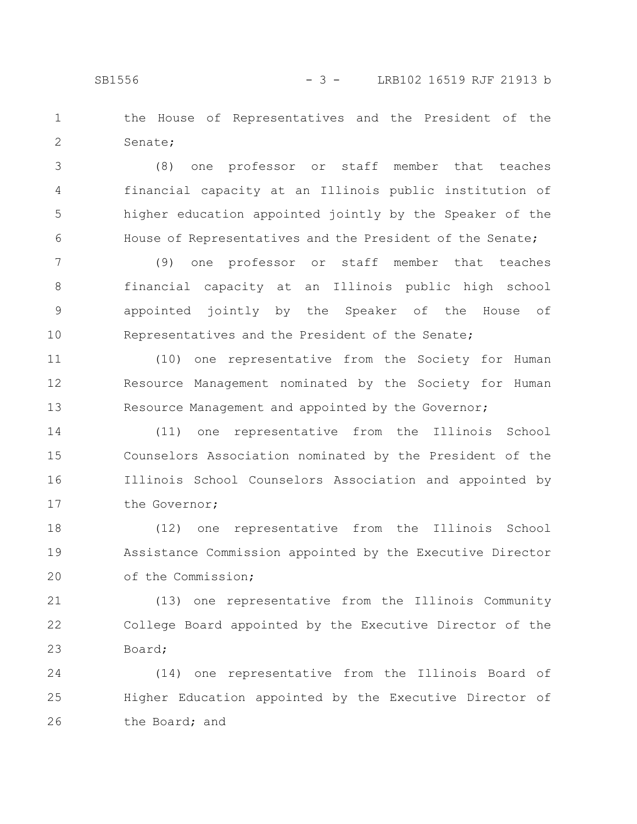the House of Representatives and the President of the Senate; 1 2

(8) one professor or staff member that teaches financial capacity at an Illinois public institution of higher education appointed jointly by the Speaker of the House of Representatives and the President of the Senate; 3 4 5 6

(9) one professor or staff member that teaches financial capacity at an Illinois public high school appointed jointly by the Speaker of the House of Representatives and the President of the Senate; 7 8 9 10

(10) one representative from the Society for Human Resource Management nominated by the Society for Human Resource Management and appointed by the Governor; 11 12 13

(11) one representative from the Illinois School Counselors Association nominated by the President of the Illinois School Counselors Association and appointed by the Governor; 14 15 16 17

(12) one representative from the Illinois School Assistance Commission appointed by the Executive Director of the Commission; 18 19 20

(13) one representative from the Illinois Community College Board appointed by the Executive Director of the Board; 21 22 23

(14) one representative from the Illinois Board of Higher Education appointed by the Executive Director of the Board; and 24 25 26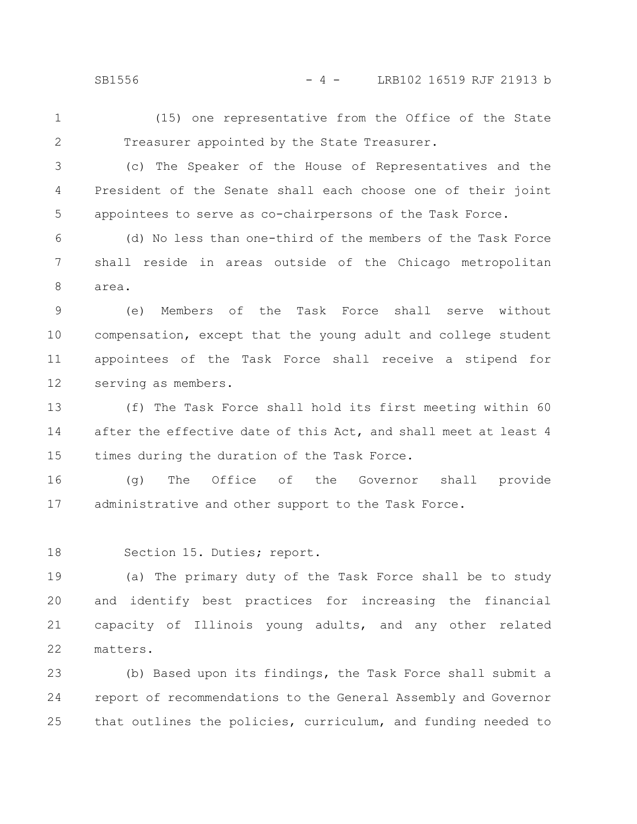SB1556 - 4 - LRB102 16519 RJF 21913 b

(15) one representative from the Office of the State Treasurer appointed by the State Treasurer. 1 2

3

4

5

(c) The Speaker of the House of Representatives and the President of the Senate shall each choose one of their joint appointees to serve as co-chairpersons of the Task Force.

(d) No less than one-third of the members of the Task Force shall reside in areas outside of the Chicago metropolitan area. 6 7 8

(e) Members of the Task Force shall serve without compensation, except that the young adult and college student appointees of the Task Force shall receive a stipend for serving as members. 9 10 11 12

(f) The Task Force shall hold its first meeting within 60 after the effective date of this Act, and shall meet at least 4 times during the duration of the Task Force. 13 14 15

(g) The Office of the Governor shall provide administrative and other support to the Task Force. 16 17

Section 15. Duties; report. 18

(a) The primary duty of the Task Force shall be to study and identify best practices for increasing the financial capacity of Illinois young adults, and any other related matters. 19 20 21 22

(b) Based upon its findings, the Task Force shall submit a report of recommendations to the General Assembly and Governor that outlines the policies, curriculum, and funding needed to 23 24 25